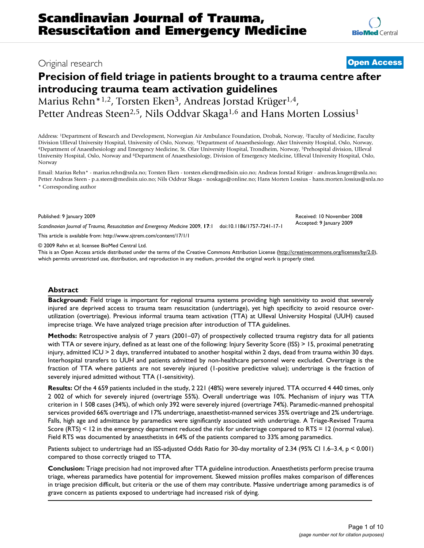# Original research **[Open Access](http://www.biomedcentral.com/info/about/charter/)**

# **Precision of field triage in patients brought to a trauma centre after introducing trauma team activation guidelines**

Marius Rehn<sup>\*1,2</sup>, Torsten Eken<sup>3</sup>, Andreas Jorstad Krüger<sup>1,4</sup>, Petter Andreas Steen<sup>2,5</sup>, Nils Oddvar Skaga<sup>1,6</sup> and Hans Morten Lossius<sup>1</sup>

Address: 1Department of Research and Development, Norwegian Air Ambulance Foundation, Drobak, Norway, 2Faculty of Medicine, Faculty Division Ulleval University Hospital, University of Oslo, Norway, <sup>3</sup>Department of Anaesthesiology, Aker University Hospital, Oslo, Norway, <sup>4</sup>Department of Anaesthesiology and Emergency Medicine, St. Olav University Hospi University Hospital, Oslo, Norway and 6Department of Anaesthesiology, Division of Emergency Medicine, Ulleval University Hospital, Oslo, Norway

Email: Marius Rehn\* - marius.rehn@snla.no; Torsten Eken - torsten.eken@medisin.uio.no; Andreas Jorstad Krüger - andreas.kruger@snla.no; Petter Andreas Steen - p.a.steen@medisin.uio.no; Nils Oddvar Skaga - noskaga@online.no; Hans Morten Lossius - hans.morten.lossius@snla.no \* Corresponding author

Published: 9 January 2009

*Scandinavian Journal of Trauma, Resuscitation and Emergency Medicine* 2009, **17**:1 doi:10.1186/1757-7241-17-1

[This article is available from: http://www.sjtrem.com/content/17/1/1](http://www.sjtrem.com/content/17/1/1)

© 2009 Rehn et al; licensee BioMed Central Ltd.

This is an Open Access article distributed under the terms of the Creative Commons Attribution License [\(http://creativecommons.org/licenses/by/2.0\)](http://creativecommons.org/licenses/by/2.0), which permits unrestricted use, distribution, and reproduction in any medium, provided the original work is properly cited.

#### **Abstract**

**Background:** Field triage is important for regional trauma systems providing high sensitivity to avoid that severely injured are deprived access to trauma team resuscitation (undertriage), yet high specificity to avoid resource overutilization (overtriage). Previous informal trauma team activation (TTA) at Ulleval University Hospital (UUH) caused imprecise triage. We have analyzed triage precision after introduction of TTA guidelines.

**Methods:** Retrospective analysis of 7 years (2001–07) of prospectively collected trauma registry data for all patients with TTA or severe injury, defined as at least one of the following: Injury Severity Score (ISS) > 15, proximal penetrating injury, admitted ICU > 2 days, transferred intubated to another hospital within 2 days, dead from trauma within 30 days. Interhospital transfers to UUH and patients admitted by non-healthcare personnel were excluded. Overtriage is the fraction of TTA where patients are not severely injured (1-positive predictive value); undertriage is the fraction of severely injured admitted without TTA (1-sensitivity).

**Results:** Of the 4 659 patients included in the study, 2 221 (48%) were severely injured. TTA occurred 4 440 times, only 2 002 of which for severely injured (overtriage 55%). Overall undertriage was 10%. Mechanism of injury was TTA criterion in 1 508 cases (34%), of which only 392 were severely injured (overtriage 74%). Paramedic-manned prehospital services provided 66% overtriage and 17% undertriage, anaesthetist-manned services 35% overtriage and 2% undertriage. Falls, high age and admittance by paramedics were significantly associated with undertriage. A Triage-Revised Trauma Score (RTS) < 12 in the emergency department reduced the risk for undertriage compared to RTS = 12 (normal value). Field RTS was documented by anaesthetists in 64% of the patients compared to 33% among paramedics.

Patients subject to undertriage had an ISS-adjusted Odds Ratio for 30-day mortality of 2.34 (95% CI 1.6–3.4, p < 0.001) compared to those correctly triaged to TTA.

**Conclusion:** Triage precision had not improved after TTA guideline introduction. Anaesthetists perform precise trauma triage, whereas paramedics have potential for improvement. Skewed mission profiles makes comparison of differences in triage precision difficult, but criteria or the use of them may contribute. Massive undertriage among paramedics is of grave concern as patients exposed to undertriage had increased risk of dying.

Received: 10 November 2008 Accepted: 9 January 2009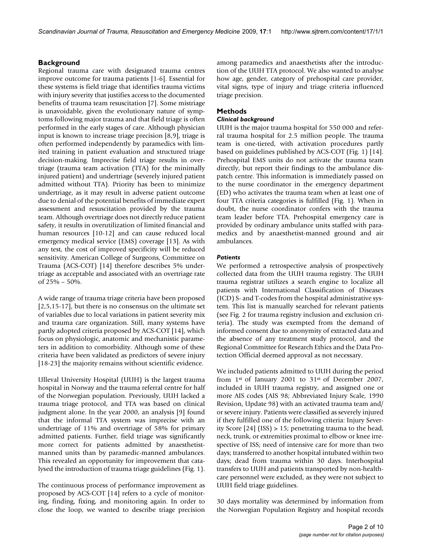*Scandinavian Journal of Trauma, Resuscitation and Emergency Medicine* 2009, 17:1 http://www.sjtrem.com/content/17/1/1

### **Background**

Regional trauma care with designated trauma centres improve outcome for trauma patients [\[1-](#page-8-0)[6](#page-8-1)]. Essential for these systems is field triage that identifies trauma victims with injury severity that justifies access to the documented benefits of trauma team resuscitation [\[7\]](#page-8-2). Some mistriage is unavoidable, given the evolutionary nature of symptoms following major trauma and that field triage is often performed in the early stages of care. Although physician input is known to increase triage precision [\[8,](#page-8-3)[9\]](#page-8-4), triage is often performed independently by paramedics with limited training in patient evaluation and structured triage decision-making. Imprecise field triage results in overtriage (trauma team activation (TTA) for the minimally injured patient) and undertriage (severely injured patient admitted without TTA). Priority has been to minimize undertriage, as it may result in adverse patient outcome due to denial of the potential benefits of immediate expert assessment and resuscitation provided by the trauma team. Although overtriage does not directly reduce patient safety, it results in overutilization of limited financial and human resources [\[10](#page-8-5)[-12](#page-8-6)] and can cause reduced local emergency medical service (EMS) coverage [\[13\]](#page-8-7). As with any test, the cost of improved specificity will be reduced sensitivity. American College of Surgeons, Committee on Trauma (ACS-COT) [\[14](#page-8-8)] therefore describes 5% undertriage as acceptable and associated with an overtriage rate of 25% – 50%.

A wide range of trauma triage criteria have been proposed [[2](#page-8-9)[,5](#page-8-10)[,15](#page-8-11)[-17](#page-8-12)], but there is no consensus on the ultimate set of variables due to local variations in patient severity mix and trauma care organization. Still, many systems have partly adopted criteria proposed by ACS-COT [\[14\]](#page-8-8), which focus on physiologic, anatomic and mechanistic parameters in addition to comorbidity. Although some of these criteria have been validated as predictors of severe injury [[18](#page-8-13)[-23](#page-8-14)] the majority remains without scientific evidence.

Ulleval University Hospital (UUH) is the largest trauma hospital in Norway and the trauma referral centre for half of the Norwegian population. Previously, UUH lacked a trauma triage protocol, and TTA was based on clinical judgment alone. In the year 2000, an analysis [\[9\]](#page-8-4) found that the informal TTA system was imprecise with an undertriage of 11% and overtriage of 58% for primary admitted patients. Further, field triage was significantly more correct for patients admitted by anaesthetistmanned units than by paramedic-manned ambulances. This revealed an opportunity for improvement that catalysed the introduction of trauma triage guidelines (Fig. [1\)](#page-2-0).

The continuous process of performance improvement as proposed by ACS-COT [[14\]](#page-8-8) refers to a cycle of monitoring, finding, fixing, and monitoring again. In order to close the loop, we wanted to describe triage precision among paramedics and anaesthetists after the introduction of the UUH TTA protocol. We also wanted to analyse how age, gender, category of prehospital care provider, vital signs, type of injury and triage criteria influenced triage precision.

## **Methods**

#### *Clinical background*

UUH is the major trauma hospital for 550 000 and referral trauma hospital for 2.5 million people. The trauma team is one-tiered, with activation procedures partly based on guidelines published by ACS-COT (Fig. [1](#page-2-0)) [\[14](#page-8-8)]. Prehospital EMS units do not activate the trauma team directly, but report their findings to the ambulance dispatch centre. This information is immediately passed on to the nurse coordinator in the emergency department (ED) who activates the trauma team when at least one of four TTA criteria categories is fulfilled (Fig. [1\)](#page-2-0). When in doubt, the nurse coordinator confers with the trauma team leader before TTA. Prehospital emergency care is provided by ordinary ambulance units staffed with paramedics and by anaesthetist-manned ground and air ambulances.

#### *Patients*

We performed a retrospective analysis of prospectively collected data from the UUH trauma registry. The UUH trauma registrar utilizes a search engine to localize all patients with International Classification of Diseases (ICD) S- and T-codes from the hospital administrative system. This list is manually searched for relevant patients (see Fig. [2](#page-3-0) for trauma registry inclusion and exclusion criteria). The study was exempted from the demand of informed consent due to anonymity of extracted data and the absence of any treatment study protocol, and the Regional Committee for Research Ethics and the Data Protection Official deemed approval as not necessary.

We included patients admitted to UUH during the period from 1st of January 2001 to 31st of December 2007, included in UUH trauma registry, and assigned one or more AIS codes (AIS 98; Abbreviated Injury Scale, 1990 Revision, Update 98) with an activated trauma team and/ or severe injury. Patients were classified as severely injured if they fulfilled one of the following criteria: Injury Severity Score [\[24](#page-8-15)] (ISS) > 15; penetrating trauma to the head, neck, trunk, or extremities proximal to elbow or knee irrespective of ISS; need of intensive care for more than two days; transferred to another hospital intubated within two days; dead from trauma within 30 days. Interhospital transfers to UUH and patients transported by non-healthcare personnel were excluded, as they were not subject to UUH field triage guidelines.

30 days mortality was determined by information from the Norwegian Population Registry and hospital records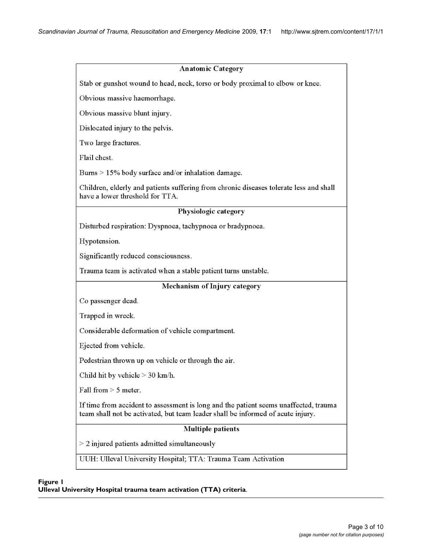<span id="page-2-0"></span>

| <b>Anatomic Category</b>                                                                                                                                                |
|-------------------------------------------------------------------------------------------------------------------------------------------------------------------------|
| Stab or gunshot wound to head, neck, torso or body proximal to elbow or knee.                                                                                           |
| Obvious massive haemorrhage.                                                                                                                                            |
| Obvious massive blunt injury.                                                                                                                                           |
| Dislocated injury to the pelvis.                                                                                                                                        |
| Two large fractures.                                                                                                                                                    |
| Flail chest.                                                                                                                                                            |
| Burns $> 15\%$ body surface and/or inhalation damage.                                                                                                                   |
| Children, elderly and patients suffering from chronic diseases tolerate less and shall<br>have a lower threshold for TTA.                                               |
| Physiologic category                                                                                                                                                    |
| Disturbed respiration: Dyspnoea, tachypnoea or bradypnoea.                                                                                                              |
| Hypotension.                                                                                                                                                            |
| Significantly reduced consciousness.                                                                                                                                    |
| Trauma team is activated when a stable patient turns unstable.                                                                                                          |
| Mechanism of Injury category                                                                                                                                            |
| Co passenger dead.                                                                                                                                                      |
| Trapped in wreck.                                                                                                                                                       |
| Considerable deformation of vehicle compartment.                                                                                                                        |
| Ejected from vehicle.                                                                                                                                                   |
| Pedestrian thrown up on vehicle or through the air.                                                                                                                     |
| Child hit by vehicle $> 30$ km/h.                                                                                                                                       |
| Fall from $> 5$ meter.                                                                                                                                                  |
| If time from accident to assessment is long and the patient seems unaffected, trauma<br>team shall not be activated, but team leader shall be informed of acute injury. |
| <b>Multiple patients</b>                                                                                                                                                |
| $>$ 2 injured patients admitted simultaneously                                                                                                                          |
| UUH: Ulleval University Hospital; TTA: Trauma Team Activation                                                                                                           |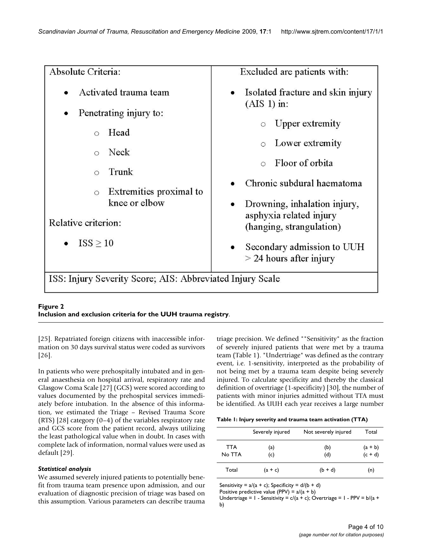<span id="page-3-0"></span>Absolute Criteria: Excluded are patients with: Activated trauma team Isolated fracture and skin injury  $(AIS 1)$  in: Penetrating injury to: Upper extremity  $\circ$ Head  $\bigcap$ Lower extremity  $\circ$ Neck  $\circ$ Floor of orbita  $\circ$ Trunk  $\circ$ Chronic subdural haematoma Extremities proximal to  $\circ$ knee or elbow Drowning, inhalation injury, asphyxia related injury Relative criterion: (hanging, strangulation)  $ISS > 10$ Secondary admission to UUH  $>$  24 hours after injury ISS: Injury Severity Score; AIS: Abbreviated Injury Scale

# **Figure 2 Inclusion and exclusion criteria for the UUH trauma registry**.

[[25](#page-8-16)]. Repatriated foreign citizens with inaccessible information on 30 days survival status were coded as survivors [[26](#page-8-17)].

In patients who were prehospitally intubated and in general anaesthesia on hospital arrival, respiratory rate and Glasgow Coma Scale [[27\]](#page-8-18) (GCS) were scored according to values documented by the prehospital services immediately before intubation. In the absence of this information, we estimated the Triage – Revised Trauma Score (RTS) [\[28\]](#page-8-19) category (0–4) of the variables respiratory rate and GCS score from the patient record, always utilizing the least pathological value when in doubt. In cases with complete lack of information, normal values were used as default [\[29](#page-8-20)].

# *Statistical analysis*

We assumed severely injured patients to potentially benefit from trauma team presence upon admission, and our evaluation of diagnostic precision of triage was based on this assumption. Various parameters can describe trauma triage precision. We defined ""Sensitivity" as the fraction of severely injured patients that were met by a trauma team (Table [1\)](#page-3-1). "Undertriage" was defined as the contrary event, i.e. 1-sensitivity, interpreted as the probability of not being met by a trauma team despite being severely injured. To calculate specificity and thereby the classical definition of overtriage (1-specificity) [\[30](#page-8-21)], the number of patients with minor injuries admitted without TTA must be identified. As UUH each year receives a large number

<span id="page-3-1"></span>

| Table I: Injury severity and trauma team activation (TTA) |  |  |  |  |
|-----------------------------------------------------------|--|--|--|--|
|-----------------------------------------------------------|--|--|--|--|

|                      | Severely injured | Not severely injured | Total                  |
|----------------------|------------------|----------------------|------------------------|
| <b>TTA</b><br>No TTA | (a)<br>(c)       | (b)<br>(d)           | $(a + b)$<br>$(c + d)$ |
| Total                | $(a + c)$        | $(b + d)$            | (n)                    |

Sensitivity =  $a/(a + c)$ ; Specificity =  $d/(b + d)$ 

Positive predictive value (PPV) =  $a/(a + b)$ 

Undertriage =  $1 -$  Sensitivity =  $c/(a + c)$ ; Overtriage =  $1 - PPV = b/(a + c)$ b)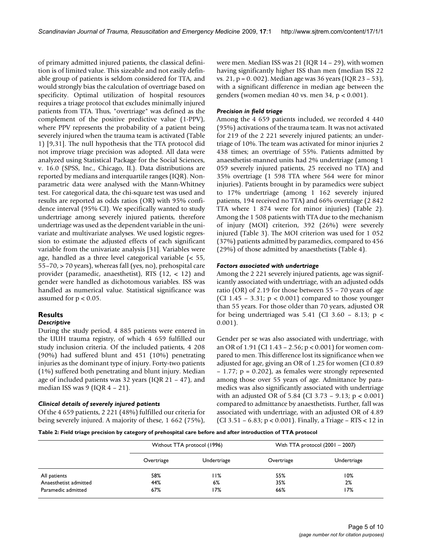of primary admitted injured patients, the classical definition is of limited value. This sizeable and not easily definable group of patients is seldom considered for TTA, and would strongly bias the calculation of overtriage based on specificity. Optimal utilization of hospital resources requires a triage protocol that excludes minimally injured patients from TTA. Thus, "overtriage" was defined as the complement of the positive predictive value (1-PPV), where PPV represents the probability of a patient being severely injured when the trauma team is activated (Table [1\)](#page-3-1) [\[9,](#page-8-4)[31\]](#page-8-22). The null hypothesis that the TTA protocol did not improve triage precision was adopted. All data were analyzed using Statistical Package for the Social Sciences, v. 16.0 (SPSS, Inc., Chicago, IL). Data distributions are reported by medians and interquartile ranges (IQR). Nonparametric data were analysed with the Mann-Whitney test. For categorical data, the chi-square test was used and results are reported as odds ratios (OR) with 95% confidence interval (95% CI). We specifically wanted to study undertriage among severely injured patients, therefore undertriage was used as the dependent variable in the univariate and multivariate analyses. We used logistic regression to estimate the adjusted effects of each significant variable from the univariate analysis [[31](#page-8-22)]. Variables were age, handled as a three level categorical variable (< 55, 55–70, > 70 years), whereas fall (yes, no), prehospital care provider (paramedic, anaesthetist), RTS (12, < 12) and gender were handled as dichotomous variables. ISS was handled as numerical value. Statistical significance was assumed for  $p < 0.05$ .

#### **Results**

#### *Descriptive*

During the study period, 4 885 patients were entered in the UUH trauma registry, of which 4 659 fulfilled our study inclusion criteria. Of the included patients, 4 208 (90%) had suffered blunt and 451 (10%) penetrating injuries as the dominant type of injury. Forty-two patients (1%) suffered both penetrating and blunt injury. Median age of included patients was 32 years (IQR 21 – 47), and median ISS was  $9$  (IQR  $4 - 21$ ).

#### *Clinical details of severely injured patients*

Of the 4 659 patients, 2 221 (48%) fulfilled our criteria for being severely injured. A majority of these, 1 662 (75%),

were men. Median ISS was 21 (IQR 14 – 29), with women having significantly higher ISS than men (median ISS 22 vs. 21, p = 0. 002). Median age was 36 years (IQR 23 – 53), with a significant difference in median age between the genders (women median 40 vs. men 34, p < 0.001).

#### *Precision in field triage*

Among the 4 659 patients included, we recorded 4 440 (95%) activations of the trauma team. It was not activated for 219 of the 2 221 severely injured patients; an undertriage of 10%. The team was activated for minor injuries 2 438 times; an overtriage of 55%. Patients admitted by anaesthetist-manned units had 2% undertriage (among 1 059 severely injured patients, 25 received no TTA) and 35% overtriage (1 598 TTA where 564 were for minor injuries). Patients brought in by paramedics were subject to 17% undertriage (among 1 162 severely injured patients, 194 received no TTA) and 66% overtriage (2 842 TTA where 1 874 were for minor injuries) (Table [2\)](#page-4-0). Among the 1 508 patients with TTA due to the mechanism of injury (MOI) criterion, 392 (26%) were severely injured (Table [3](#page-5-0)). The MOI criterion was used for 1 052 (37%) patients admitted by paramedics, compared to 456 (29%) of those admitted by anaesthetists (Table [4](#page-5-1)).

#### *Factors associated with undertriage*

Among the 2 221 severely injured patients, age was significantly associated with undertriage, with an adjusted odds ratio (OR) of 2.19 for those between 55 – 70 years of age (CI 1.45 – 3.31;  $p < 0.001$ ) compared to those younger than 55 years. For those older than 70 years, adjusted OR for being undertriaged was  $5.41$  (CI 3.60 – 8.13; p < 0.001).

Gender per se was also associated with undertriage, with an OR of 1.91 (CI 1.43 – 2.56; p < 0.001) for women compared to men. This difference lost its significance when we adjusted for age, giving an OR of 1.25 for women (CI 0.89 – 1.77; p = 0.202), as females were strongly represented among those over 55 years of age. Admittance by paramedics was also significantly associated with undertriage with an adjusted OR of 5.84 (CI 3.73 – 9.13; p < 0.001) compared to admittance by anaesthetists. Further, fall was associated with undertriage, with an adjusted OR of 4.89 (CI 3.51 – 6.83; p < 0.001). Finally, a Triage – RTS < 12 in

<span id="page-4-0"></span>**Table 2: Field triage precision by category of prehospital care before and after introduction of TTA protocol**

|                       |            | Without TTA protocol (1996) |            | With TTA protocol $(2001 - 2007)$ |
|-----------------------|------------|-----------------------------|------------|-----------------------------------|
|                       | Overtriage | Undertriage                 | Overtriage | Undertriage                       |
| All patients          | 58%        | l I%                        | 55%        | 10%                               |
| Anaesthetist admitted | 44%        | 6%                          | 35%        | 2%                                |
| Paramedic admitted    | 67%        | 17%                         | 66%        | 17%                               |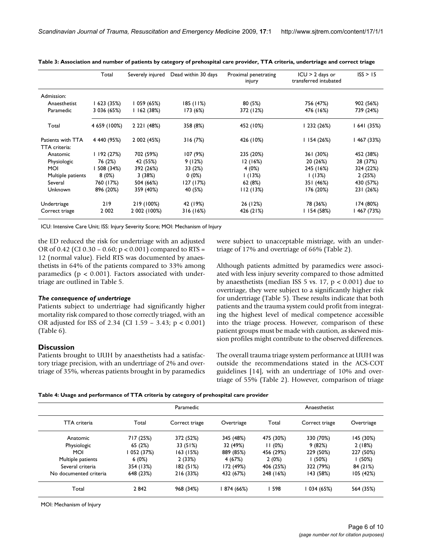|                   | Total        | Severely injured | Dead within 30 days | Proximal penetrating<br>injury | $ICU > 2$ days or<br>transferred intubated | ISS > 15    |
|-------------------|--------------|------------------|---------------------|--------------------------------|--------------------------------------------|-------------|
| Admission:        |              |                  |                     |                                |                                            |             |
| Anaesthetist      | l 623 (35%)  | l 059 (65%)      | 185 (11%)           | 80(5%)                         | 756 (47%)                                  | 902 (56%)   |
| Paramedic         | 3 036 (65%)  | 1162(38%)        | 173 (6%)            | 372 (12%)                      | 476 (16%)                                  | 739 (24%)   |
| Total             | 4 659 (100%) | 2 2 2 1 (48%)    | 358 (8%)            | 452 (10%)                      | 1 232 (26%)                                | l 641 (35%) |
| Patients with TTA | 4 440 (95%)  | 2 002 (45%)      | 316(7%)             | 426 (10%)                      | 1154(26%)                                  | l 467 (33%) |
| TTA criteria:     |              |                  |                     |                                |                                            |             |
| Anatomic          | 1192(27%)    | 702 (59%)        | 107(9%)             | 235 (20%)                      | 361 (30%)                                  | 452 (38%)   |
| Physiologic       | 76 (2%)      | 42 (55%)         | 9(12%)              | 12 (16%)                       | 20 (26%)                                   | 28 (37%)    |
| <b>MOI</b>        | 508 (34%)    | 392 (26%)        | 33 (2%)             | 4(0%)                          | 245 (16%)                                  | 324 (22%)   |
| Multiple patients | 8(0%)        | 3(38%)           | $0(0\%)$            | 1(13%)                         | 1(13%)                                     | 2(25%)      |
| Several           | 760 (17%)    | 504 (66%)        | 127 (17%)           | 62 (8%)                        | 351 (46%)                                  | 430 (57%)   |
| Unknown           | 896 (20%)    | 359 (40%)        | 40 (5%)             | 112(13%)                       | 176 (20%)                                  | 231 (26%)   |
| Undertriage       | 219          | 219 (100%)       | 42 (19%)            | 26 (12%)                       | 78 (36%)                                   | 174 (80%)   |
| Correct triage    | 2 002        | 2 002 (100%)     | 316(16%)            | 426 (21%)                      | II54 (58%)                                 | 467 (73%)   |

<span id="page-5-0"></span>**Table 3: Association and number of patients by category of prehospital care provider, TTA criteria, undertriage and correct triage**

ICU: Intensive Care Unit; ISS: Injury Severity Score; MOI: Mechanism of Injury

the ED reduced the risk for undertriage with an adjusted OR of 0.42 (CI 0.30 – 0.60;  $p < 0.001$ ) compared to RTS = 12 (normal value). Field RTS was documented by anaesthetists in 64% of the patients compared to 33% among paramedics ( $p < 0.001$ ). Factors associated with undertriage are outlined in Table [5](#page-6-0).

#### *The consequence of undertriage*

Patients subject to undertriage had significantly higher mortality risk compared to those correctly triaged, with an OR adjusted for ISS of 2.34 (CI 1.59 – 3.43; p < 0.001) (Table [6\)](#page-6-1).

#### **Discussion**

Patients brought to UUH by anaesthetists had a satisfactory triage precision, with an undertriage of 2% and overtriage of 35%, whereas patients brought in by paramedics were subject to unacceptable mistriage, with an undertriage of 17% and overtriage of 66% (Table [2\)](#page-4-0).

Although patients admitted by paramedics were associated with less injury severity compared to those admitted by anaesthetists (median ISS 5 vs.  $17$ ,  $p < 0.001$ ) due to overtriage, they were subject to a significantly higher risk for undertriage (Table [5](#page-6-0)). These results indicate that both patients and the trauma system could profit from integrating the highest level of medical competence accessible into the triage process. However, comparison of these patient groups must be made with caution, as skewed mission profiles might contribute to the observed differences.

The overall trauma triage system performance at UUH was outside the recommendations stated in the ACS-COT guidelines [[14\]](#page-8-8), with an undertriage of 10% and overtriage of 55% (Table [2](#page-4-0)). However, comparison of triage

<span id="page-5-1"></span>

| Table 4: Usage and performance of TTA criteria by category of prehospital care provider |  |  |  |
|-----------------------------------------------------------------------------------------|--|--|--|
|                                                                                         |  |  |  |

|                        |           | Paramedic      |            | Anaesthetist |                |            |  |
|------------------------|-----------|----------------|------------|--------------|----------------|------------|--|
| <b>TTA</b> criteria    | Total     | Correct triage | Overtriage | Total        | Correct triage | Overtriage |  |
| Anatomic               | 717 (25%) | 372 (52%)      | 345 (48%)  | 475 (30%)    | 330 (70%)      | 145 (30%)  |  |
| Physiologic            | 65(2%)    | 33 (51%)       | 32 (49%)   | 11(0%)       | 9(82%)         | 2(18%)     |  |
| MOI                    | 052 (37%) | 163 (15%)      | 889 (85%)  | 456 (29%)    | 229 (50%)      | 227 (50%)  |  |
| Multiple patients      | 6(0%)     | 2(33%)         | 4 (67%)    | 2(0%)        | (50%)          | (50%)      |  |
| Several criteria       | 354 (13%) | 182(51%)       | 172 (49%)  | 406 (25%)    | 322 (79%)      | 84 (21%)   |  |
| No documented criteria | 648 (23%) | 216 (33%)      | 432 (67%)  | 248 (16%)    | 143 (58%)      | 105 (42%)  |  |
| Total                  | 2842      | 968 (34%)      | 874 (66%)  | 598          | 034 (65%)      | 564 (35%)  |  |

MOI: Mechanism of Injury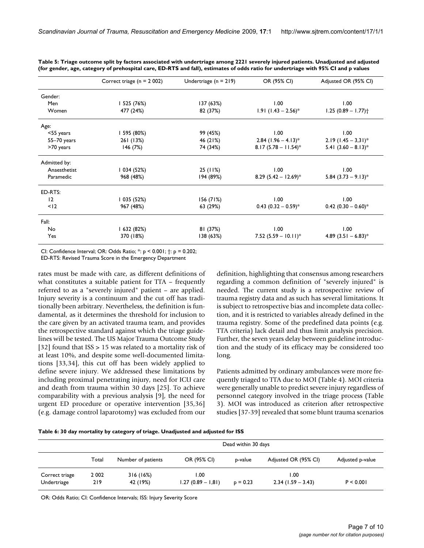|                 | Correct triage ( $n = 2002$ ) | Undertriage ( $n = 219$ ) | OR (95% CI)                       | Adjusted OR (95% CI)              |
|-----------------|-------------------------------|---------------------------|-----------------------------------|-----------------------------------|
| Gender:         |                               |                           |                                   |                                   |
| Men             | I 525 (76%)                   | 137 (63%)                 | 1.00                              | 1.00                              |
| Women           | 477 (24%)                     | 82 (37%)                  | $1.91$ (1.43 – 2.56) <sup>*</sup> | $1.25(0.89 - 1.77)$ <sup>+</sup>  |
| Age:            |                               |                           |                                   |                                   |
| <55 years       | 1 595 (80%)                   | 99 (45%)                  | 1.00                              | 1.00                              |
| $55 - 70$ years | 261 (13%)                     | 46 (21%)                  | $2.84$ (1.96 – 4.13) <sup>*</sup> | $2.19 (1.45 - 3.31)^*$            |
| >70 years       | 146(7%)                       | 74 (34%)                  | $8.17(5.78 - 11.54)^*$            | 5.41 $(3.60 - 8.13)^*$            |
| Admitted by:    |                               |                           |                                   |                                   |
| Anaesthetist    | 1 034 (52%)                   | 25(11%)                   | 1.00                              | 1.00                              |
| Paramedic       | 968 (48%)                     | 194 (89%)                 | 8.29 $(5.42 - 12.69)^*$           | $5.84$ (3.73 – 9.13) <sup>*</sup> |
| ED-RTS:         |                               |                           |                                   |                                   |
| 12              | 1 035 (52%)                   | 156(71%)                  | 1.00                              | 1.00                              |
| < 12            | 967 (48%)                     | 63 (29%)                  | $0.43$ (0.32 - 0.59) <sup>*</sup> | $0.42$ (0.30 - 0.60)*             |
| Fall:           |                               |                           |                                   |                                   |
| No              | l 632 (82%)                   | 81 (37%)                  | 1.00                              | 1.00                              |
| Yes             | 370 (18%)                     | 138(63%)                  | 7.52 $(5.59 - 10.11)^*$           | 4.89 $(3.51 - 6.83)^*$            |

<span id="page-6-0"></span>**Table 5: Triage outcome split by factors associated with undertriage among 2221 severely injured patients. Unadjusted and adjusted (for gender, age, category of prehospital care, ED-RTS and fall), estimates of odds ratio for undertriage with 95% CI and p values**

CI: Confidence Interval; OR: Odds Ratio; \*: p < 0.001; †: p = 0.202;

ED-RTS: Revised Trauma Score in the Emergency Department

rates must be made with care, as different definitions of what constitutes a suitable patient for TTA – frequently referred to as a "severely injured" patient – are applied. Injury severity is a continuum and the cut off has traditionally been arbitrary. Nevertheless, the definition is fundamental, as it determines the threshold for inclusion to the care given by an activated trauma team, and provides the retrospective standard against which the triage guidelines will be tested. The US Major Trauma Outcome Study [[32](#page-8-23)] found that ISS > 15 was related to a mortality risk of at least 10%, and despite some well-documented limitations [\[33](#page-8-24),[34\]](#page-8-25), this cut off has been widely applied to define severe injury. We addressed these limitations by including proximal penetrating injury, need for ICU care and death from trauma within 30 days [\[25](#page-8-16)]. To achieve comparability with a previous analysis [\[9\]](#page-8-4), the need for urgent ED procedure or operative intervention [[35](#page-8-26),[36\]](#page-8-27) (e.g. damage control laparotomy) was excluded from our definition, highlighting that consensus among researchers regarding a common definition of "severely injured" is needed. The current study is a retrospective review of trauma registry data and as such has several limitations. It is subject to retrospective bias and incomplete data collection, and it is restricted to variables already defined in the trauma registry. Some of the predefined data points (e.g. TTA criteria) lack detail and thus limit analysis precision. Further, the seven years delay between guideline introduction and the study of its efficacy may be considered too long.

Patients admitted by ordinary ambulances were more frequently triaged to TTA due to MOI (Table [4](#page-5-1)). MOI criteria were generally unable to predict severe injury regardless of personnel category involved in the triage process (Table [3](#page-5-0)). MOI was introduced as criterion after retrospective studies [[37-](#page-8-28)[39\]](#page-8-29) revealed that some blunt trauma scenarios

<span id="page-6-1"></span>

|  | Table 6: 30 day mortality by category of triage. Unadjusted and adjusted for ISS |  |
|--|----------------------------------------------------------------------------------|--|
|  |                                                                                  |  |

|                               |                | Dead within 30 days  |                              |            |                              |                  |  |
|-------------------------------|----------------|----------------------|------------------------------|------------|------------------------------|------------------|--|
|                               | Total          | Number of patients   | OR (95% CI)                  | p-value    | Adjusted OR (95% CI)         | Adjusted p-value |  |
| Correct triage<br>Undertriage | 2 0 0 2<br>219 | 316(16%)<br>42 (19%) | 00. ا<br>$1.27(0.89 - 1.81)$ | $p = 0.23$ | 00. ا<br>$2.34(1.59 - 3.43)$ | P < 0.001        |  |

OR: Odds Ratio; CI: Confidence Intervals; ISS: Injury Severity Score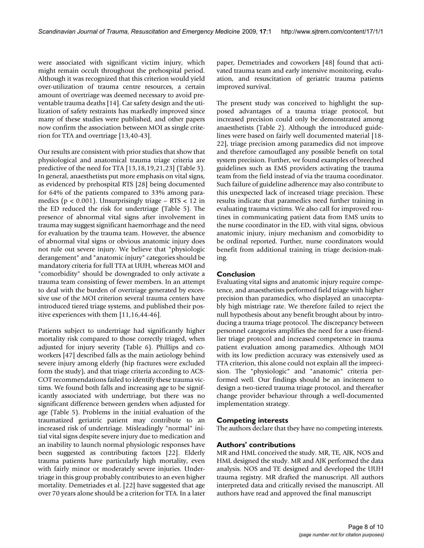were associated with significant victim injury, which might remain occult throughout the prehospital period. Although it was recognized that this criterion would yield over-utilization of trauma centre resources, a certain amount of overtriage was deemed necessary to avoid preventable trauma deaths [[14](#page-8-8)]. Car safety design and the utilization of safety restraints has markedly improved since many of these studies were published, and other papers now confirm the association between MOI as single criterion for TTA and overtriage [\[13](#page-8-7)[,40](#page-8-30)[-43](#page-9-0)].

Our results are consistent with prior studies that show that physiological and anatomical trauma triage criteria are predictive of the need for TTA [\[13](#page-8-7)[,18](#page-8-13),[19](#page-8-31)[,21](#page-8-32)[,23](#page-8-14)] (Table [3\)](#page-5-0). In general, anaesthetists put more emphasis on vital signs, as evidenced by prehospital RTS [\[28\]](#page-8-19) being documented for 64% of the patients compared to 33% among paramedics ( $p < 0.001$ ). Unsurprisingly triage – RTS  $< 12$  in the ED reduced the risk for undertriage (Table [5\)](#page-6-0). The presence of abnormal vital signs after involvement in trauma may suggest significant haemorrhage and the need for evaluation by the trauma team. However, the absence of abnormal vital signs or obvious anatomic injury does not rule out severe injury. We believe that "physiologic derangement" and "anatomic injury" categories should be mandatory criteria for full TTA at UUH, whereas MOI and "comorbidity" should be downgraded to only activate a trauma team consisting of fewer members. In an attempt to deal with the burden of overtriage generated by excessive use of the MOI criterion several trauma centers have introduced tiered triage systems, and published their positive experiences with them [[11,](#page-8-33)[16](#page-8-34)[,44](#page-9-1)[-46](#page-9-2)].

Patients subject to undertriage had significantly higher mortality risk compared to those correctly triaged, when adjusted for injury severity (Table [6\)](#page-6-1). Phillips and coworkers [\[47\]](#page-9-3) described falls as the main aetiology behind severe injury among elderly (hip fractures were excluded form the study), and that triage criteria according to ACS-COT recommendations failed to identify these trauma victims. We found both falls and increasing age to be significantly associated with undertriage, but there was no significant difference between genders when adjusted for age (Table [5](#page-6-0)). Problems in the initial evaluation of the traumatized geriatric patient may contribute to an increased risk of undertriage. Misleadingly "normal" initial vital signs despite severe injury due to medication and an inability to launch normal physiologic responses have been suggested as contributing factors [[22\]](#page-8-35). Elderly trauma patients have particularly high mortality, even with fairly minor or moderately severe injuries. Undertriage in this group probably contributes to an even higher mortality. Demetriades et al. [\[22\]](#page-8-35) have suggested that age over 70 years alone should be a criterion for TTA. In a later paper, Demetriades and coworkers [\[48\]](#page-9-4) found that activated trauma team and early intensive monitoring, evaluation, and resuscitation of geriatric trauma patients improved survival.

The present study was conceived to highlight the supposed advantages of a trauma triage protocol, but increased precision could only be demonstrated among anaesthetists (Table [2\)](#page-4-0). Although the introduced guidelines were based on fairly well documented material [\[18-](#page-8-13) [22\]](#page-8-35), triage precision among paramedics did not improve and therefore camouflaged any possible benefit on total system precision. Further, we found examples of breeched guidelines such as EMS providers activating the trauma team from the field instead of via the trauma coordinator. Such failure of guideline adherence may also contribute to this unexpected lack of increased triage precision. These results indicate that paramedics need further training in evaluating trauma victims. We also call for improved routines in communicating patient data from EMS units to the nurse coordinator in the ED, with vital signs, obvious anatomic injury, injury mechanism and comorbidity to be ordinal reported. Further, nurse coordinators would benefit from additional training in triage decision-making.

#### **Conclusion**

Evaluating vital signs and anatomic injury require competence, and anaesthetists performed field triage with higher precision than paramedics, who displayed an unacceptably high mistriage rate. We therefore failed to reject the null hypothesis about any benefit brought about by introducing a trauma triage protocol. The discrepancy between personnel categories amplifies the need for a user-friendlier triage protocol and increased competence in trauma patient evaluation among paramedics. Although MOI with its low prediction accuracy was extensively used as TTA criterion, this alone could not explain all the imprecision. The "physiologic" and "anatomic" criteria performed well. Our findings should be an incitement to design a two-tiered trauma triage protocol, and thereafter change provider behaviour through a well-documented implementation strategy.

#### **Competing interests**

The authors declare that they have no competing interests.

#### **Authors' contributions**

MR and HML conceived the study. MR, TE, AJK, NOS and HML designed the study. MR and AJK performed the data analysis. NOS and TE designed and developed the UUH trauma registry. MR drafted the manuscript. All authors interpreted data and critically revised the manuscript. All authors have read and approved the final manuscript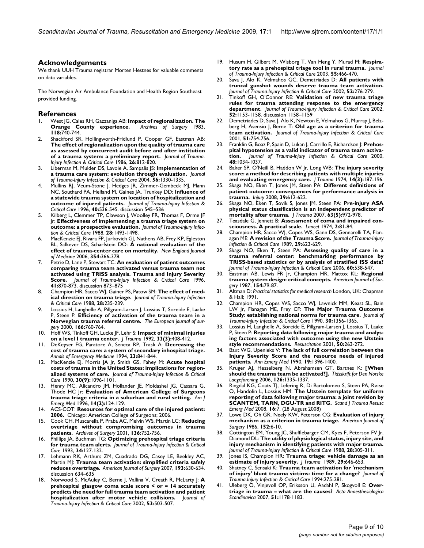#### **Acknowledgements**

We thank UUH Trauma registrar Morten Hestnes for valuable comments on data variables.

The Norwegian Air Ambulance Foundation and Health Region Southeast provided funding.

#### **References**

- <span id="page-8-0"></span>West JG, Cales RH, Gazzaniga AB: **[Impact of regionalization. The](http://www.ncbi.nlm.nih.gov/entrez/query.fcgi?cmd=Retrieve&db=PubMed&dopt=Abstract&list_uids=6847371)**<br>**Orange County experience.** Archives of Surgery 1983, **[Orange County experience.](http://www.ncbi.nlm.nih.gov/entrez/query.fcgi?cmd=Retrieve&db=PubMed&dopt=Abstract&list_uids=6847371)** *Archives of Surgery* 1983, **118:**740-744.
- <span id="page-8-9"></span>2. Shackford SR, Hollingworth-Fridlund P, Cooper GF, Eastman AB: **The effect of regionalization upon the quality of trauma care as assessed by concurrent audit before and after institution of a trauma system: a preliminary report.** *Journal of Trauma-Injury Infection & Critical Care* 1986, **26:**812-820.
- 3. Liberman M, Mulder DS, Lavoie A, Sampalis JS: **Implementation of a trauma care system: evolution through evaluation.** *Journal of Trauma-Injury Infection & Critical Care* 2004, **56:**1330-1335.
- Mullins RJ, Veum-Stone J, Hedges JR, Zimmer-Gembeck MJ, Mann NC, Southard PA, Helfand M, Gaines JA, Trunkey DD: **Influence of a statewide trauma system on location of hospitalization and outcome of injured patients.** *Journal of Trauma-Injury Infection & Critical Care* 1996, **40:**536-545. discussion 545–536
- <span id="page-8-10"></span>5. Kilberg L, Clemmer TP, Clawson J, Woolley FR, Thomas F, Orme JF Jr: **Effectiveness of implementing a trauma triage system on outcome: a prospective evaluation.** *Journal of Trauma-Injury Infection & Critical Care* 1988, **28:**1493-1498.
- <span id="page-8-1"></span>6. MacKenzie EJ, Rivara FP, Jurkovich GJ, Nathens AB, Frey KP, Egleston BL, Salkever DS, Scharfstein DO: **[A national evaluation of the](http://www.ncbi.nlm.nih.gov/entrez/query.fcgi?cmd=Retrieve&db=PubMed&dopt=Abstract&list_uids=16436768) [effect of trauma-center care on mortality.](http://www.ncbi.nlm.nih.gov/entrez/query.fcgi?cmd=Retrieve&db=PubMed&dopt=Abstract&list_uids=16436768)** *New England Journal of Medicine* 2006, **354:**366-378.
- <span id="page-8-2"></span>7. Petrie D, Lane P, Stewart TC: **An evaluation of patient outcomes comparing trauma team activated versus trauma team not activated using TRISS analysis. Trauma and Injury Severity Score.** *Journal of Trauma-Injury Infection & Critical Care* 1996, **41:**870-873. discussion 873–875
- <span id="page-8-3"></span>8. Champion HR, Sacco WJ, Gainer PS, Patow SM: **The effect of medical direction on trauma triage.** *Journal of Trauma-Injury Infection & Critical Care* 1988, **28:**235-239.
- <span id="page-8-4"></span>Lossius H, Langhelle A, Pillgram-Larsen J, Lossius T, Soreide E, Laake P, Steen P: **[Efficiency of activation of the trauma team in a](http://www.ncbi.nlm.nih.gov/entrez/query.fcgi?cmd=Retrieve&db=PubMed&dopt=Abstract&list_uids=11071161) [Norwegian trauma referral centre.](http://www.ncbi.nlm.nih.gov/entrez/query.fcgi?cmd=Retrieve&db=PubMed&dopt=Abstract&list_uids=11071161)** *The European journal of surgery* 2000, **166:**760-764.
- <span id="page-8-5"></span>10. Hoff WS, Tinkoff GH, Lucke JF, Lehr S: **[Impact of minimal injuries](http://www.ncbi.nlm.nih.gov/entrez/query.fcgi?cmd=Retrieve&db=PubMed&dopt=Abstract&list_uids=1404510) [on a level I trauma center.](http://www.ncbi.nlm.nih.gov/entrez/query.fcgi?cmd=Retrieve&db=PubMed&dopt=Abstract&list_uids=1404510)** *J Trauma* 1992, **33(3):**408-412.
- <span id="page-8-33"></span>11. DeKeyser FG, Paratore A, Seneca RP, Trask A: **[Decreasing the](http://www.ncbi.nlm.nih.gov/entrez/query.fcgi?cmd=Retrieve&db=PubMed&dopt=Abstract&list_uids=8161056) [cost of trauma care: a system of secondary inhospital triage.](http://www.ncbi.nlm.nih.gov/entrez/query.fcgi?cmd=Retrieve&db=PubMed&dopt=Abstract&list_uids=8161056)** *Annals of Emergency Medicine* 1994, **23:**841-844.
- <span id="page-8-6"></span>12. MacKenzie EJ, Morris JA Jr, Smith GS, Fahey M: **[Acute hospital](http://www.ncbi.nlm.nih.gov/entrez/query.fcgi?cmd=Retrieve&db=PubMed&dopt=Abstract&list_uids= 2213943 ) [costs of trauma in the United States: implications for region](http://www.ncbi.nlm.nih.gov/entrez/query.fcgi?cmd=Retrieve&db=PubMed&dopt=Abstract&list_uids= 2213943 )[alized systems of care.](http://www.ncbi.nlm.nih.gov/entrez/query.fcgi?cmd=Retrieve&db=PubMed&dopt=Abstract&list_uids= 2213943 )** *Journal of Trauma-Injury Infection & Critical Care* 1990, **30(9):**1096-1101.
- <span id="page-8-7"></span>13. Henry MC, Alicandro JM, Hollander JE, Moldashel JG, Cassara G, Thode HC Jr: **[Evaluation of American College of Surgeons](http://www.ncbi.nlm.nih.gov/entrez/query.fcgi?cmd=Retrieve&db=PubMed&dopt=Abstract&list_uids=8924131) [trauma triage criteria in a suburban and rural setting.](http://www.ncbi.nlm.nih.gov/entrez/query.fcgi?cmd=Retrieve&db=PubMed&dopt=Abstract&list_uids=8924131)** *Am J Emerg Med* 1996, **14(2):**124-129.
- <span id="page-8-8"></span>14. ACS-COT: **Resources for optimal care of the injured patient: 2006.** Chicago: American College of Surgeons; 2006.
- <span id="page-8-11"></span>15. Cook CH, Muscarella P, Praba AC, Melvin WS, Martin LC: **[Reducing](http://www.ncbi.nlm.nih.gov/entrez/query.fcgi?cmd=Retrieve&db=PubMed&dopt=Abstract&list_uids=11448384) [overtriage without compromising outcomes in trauma](http://www.ncbi.nlm.nih.gov/entrez/query.fcgi?cmd=Retrieve&db=PubMed&dopt=Abstract&list_uids=11448384) [patients.](http://www.ncbi.nlm.nih.gov/entrez/query.fcgi?cmd=Retrieve&db=PubMed&dopt=Abstract&list_uids=11448384)** *Archives of Surgery* 2001, **136:**752-756.
- <span id="page-8-34"></span>16. Phillips JA, Buchman TG: **Optimizing prehospital triage criteria for trauma team alerts.** *Journal of Trauma-Injury Infection & Critical Care* 1993, **34:**127-132.
- <span id="page-8-12"></span>Lehmann RK, Arthurs ZM, Cuadrado DG, Casey LE, Beekley AC, Martin MJ: **[Trauma team activation: simplified criteria safely](http://www.ncbi.nlm.nih.gov/entrez/query.fcgi?cmd=Retrieve&db=PubMed&dopt=Abstract&list_uids=17434371) [reduces overtriage.](http://www.ncbi.nlm.nih.gov/entrez/query.fcgi?cmd=Retrieve&db=PubMed&dopt=Abstract&list_uids=17434371)** *American Journal of Surgery* 2007, **193:**630-634. discussion 634–635
- <span id="page-8-13"></span>18. Norwood S, McAuley C, Berne J, Vallina V, Creath R, McLarty J: **A prehospital glasgow coma scale score < or = 14 accurately predicts the need for full trauma team activation and patient hospitalization after motor vehicle collisions.** *Journal of Trauma-Injury Infection & Critical Care* 2002, **53:**503-507.
- <span id="page-8-31"></span>19. Husum H, Gilbert M, Wisborg T, Van Heng Y, Murad M: **Respiratory rate as a prehospital triage tool in rural trauma.** *Journal of Trauma-Injury Infection & Critical Care* 2003, **55:**466-470.
- 20. Sava J, Alo K, Velmahos GC, Demetriades D: **All patients with truncal gunshot wounds deserve trauma team activation.** *Journal of Trauma-Injury Infection & Critical Care* 2002, **52:**276-279.
- <span id="page-8-32"></span>21. Tinkoff GH, O'Connor RE: **Validation of new trauma triage rules for trauma attending response to the emergency department.** *Journal of Trauma-Injury Infection & Critical Care* 2002, **52:**1153-1158. discussion 1158–1159
- <span id="page-8-35"></span>22. Demetriades D, Sava J, Alo K, Newton E, Velmahos G, Murray J, Belzberg H, Asensio J, Berne T: **Old age as a criterion for trauma team activation.** *Journal of Trauma-Injury Infection & Critical Care* 2001, **51:**754-756.
- <span id="page-8-14"></span>23. Franklin G, Boaz P, Spain D, Lukan J, Carrillo E, Richardson J: **Prehospital hypotension as a valid indicator of trauma team activation.** *Journal of Trauma-Injury Infection & Critical Care* 2000, **48:**1034-1037.
- <span id="page-8-15"></span>24. Baker SP, O'Neill B, Haddon W Jr, Long WB: **[The injury severity](http://www.ncbi.nlm.nih.gov/entrez/query.fcgi?cmd=Retrieve&db=PubMed&dopt=Abstract&list_uids=4814394) [score: a method for describing patients with multiple injuries](http://www.ncbi.nlm.nih.gov/entrez/query.fcgi?cmd=Retrieve&db=PubMed&dopt=Abstract&list_uids=4814394) [and evaluating emergency care.](http://www.ncbi.nlm.nih.gov/entrez/query.fcgi?cmd=Retrieve&db=PubMed&dopt=Abstract&list_uids=4814394)** *J Trauma* 1974, **14(3):**187-196.
- <span id="page-8-16"></span>25. Skaga NO, Eken T, Jones JM, Steen PA: **[Different definitions of](http://www.ncbi.nlm.nih.gov/entrez/query.fcgi?cmd=Retrieve&db=PubMed&dopt=Abstract&list_uids=18377909) [patient outcome: consequences for performance analysis in](http://www.ncbi.nlm.nih.gov/entrez/query.fcgi?cmd=Retrieve&db=PubMed&dopt=Abstract&list_uids=18377909) [trauma.](http://www.ncbi.nlm.nih.gov/entrez/query.fcgi?cmd=Retrieve&db=PubMed&dopt=Abstract&list_uids=18377909)** *Injury* 2008, **39:**612-622.
- <span id="page-8-17"></span>26. Skaga NO, Eken T, Sovik S, Jones JM, Steen PA: **[Pre-injury ASA](http://www.ncbi.nlm.nih.gov/entrez/query.fcgi?cmd=Retrieve&db=PubMed&dopt=Abstract&list_uids=17993938) [physical status classification is an independent predictor of](http://www.ncbi.nlm.nih.gov/entrez/query.fcgi?cmd=Retrieve&db=PubMed&dopt=Abstract&list_uids=17993938) [mortality after trauma.](http://www.ncbi.nlm.nih.gov/entrez/query.fcgi?cmd=Retrieve&db=PubMed&dopt=Abstract&list_uids=17993938)** *J Trauma* 2007, **63(5):**972-978.
- <span id="page-8-18"></span>27. Teasdale G, Jennett B: **[Assessment of coma and impaired con](http://www.ncbi.nlm.nih.gov/entrez/query.fcgi?cmd=Retrieve&db=PubMed&dopt=Abstract&list_uids=4136544)[sciousness. A practical scale.](http://www.ncbi.nlm.nih.gov/entrez/query.fcgi?cmd=Retrieve&db=PubMed&dopt=Abstract&list_uids=4136544)** *Lancet* 1974, **2:**81-84.
- <span id="page-8-19"></span>28. Champion HR, Sacco WJ, Copes WS, Gann DS, Gennarelli TA, Flanagan ME: **A revision of the Trauma Score.** *Journal of Trauma-Injury Infection & Critical Care* 1989, **29:**623-629.
- <span id="page-8-20"></span>29. Skaga NO, Eken T, Steen PA: **Assessing quality of care in a trauma referral center: benchmarking performance by TRISS-based statistics or by analysis of stratified ISS data?** *Journal of Trauma-Injury Infection & Critical Care* 2006, **60:**538-547.
- <span id="page-8-21"></span>30. Eastman AB, Lewis FR Jr, Champion HR, Mattox KL: **[Regional](http://www.ncbi.nlm.nih.gov/entrez/query.fcgi?cmd=Retrieve&db=PubMed&dopt=Abstract&list_uids=3605516) [trauma system design: critical concepts.](http://www.ncbi.nlm.nih.gov/entrez/query.fcgi?cmd=Retrieve&db=PubMed&dopt=Abstract&list_uids=3605516)** *American Journal of Surgery* 1987, **154:**79-87.
- <span id="page-8-22"></span>31. Altman D: *Practical statistics for medical research* London, UK: Chapman & Hall; 1991.
- <span id="page-8-23"></span>32. Champion HR, Copes WS, Sacco WJ, Lawnick MM, Keast SL, Bain LW Jr, Flanagan ME, Frey CF: **The Major Trauma Outcome Study: establishing national norms for trauma care.** *Journal of Trauma-Injury Infection & Critical Care* 1990, **30:**1356-1365.
- <span id="page-8-24"></span>Lossius H, Langhelle A, Soreide E, Pillgram-Larsen J, Lossius T, Laake P, Steen P: **[Reporting data following major trauma and analys](http://www.ncbi.nlm.nih.gov/entrez/query.fcgi?cmd=Retrieve&db=PubMed&dopt=Abstract&list_uids=11719155)[ing factors associated with outcome using the new Utstein](http://www.ncbi.nlm.nih.gov/entrez/query.fcgi?cmd=Retrieve&db=PubMed&dopt=Abstract&list_uids=11719155) [style recommendations.](http://www.ncbi.nlm.nih.gov/entrez/query.fcgi?cmd=Retrieve&db=PubMed&dopt=Abstract&list_uids=11719155)** *Resuscitation* 2001, **50:**263-272.
- <span id="page-8-25"></span>Baxt WG, Upenieks V: [The lack of full correlation between the](http://www.ncbi.nlm.nih.gov/entrez/query.fcgi?cmd=Retrieve&db=PubMed&dopt=Abstract&list_uids=2240752) **[Injury Severity Score and the resource needs of injured](http://www.ncbi.nlm.nih.gov/entrez/query.fcgi?cmd=Retrieve&db=PubMed&dopt=Abstract&list_uids=2240752) [patients.](http://www.ncbi.nlm.nih.gov/entrez/query.fcgi?cmd=Retrieve&db=PubMed&dopt=Abstract&list_uids=2240752)** *Ann Emerg Med* 1990, **19:**1396-1400.
- <span id="page-8-26"></span>35. Kruger AJ, Hesselberg N, Abrahamsen GT, Bartnes K: **[\[When](http://www.ncbi.nlm.nih.gov/entrez/query.fcgi?cmd=Retrieve&db=PubMed&dopt=Abstract&list_uids=16691271) [should the trauma team be activated?\].](http://www.ncbi.nlm.nih.gov/entrez/query.fcgi?cmd=Retrieve&db=PubMed&dopt=Abstract&list_uids=16691271)** *Tidsskrift for Den Norske Laegeforening* 2006, **126:**1335-1337.
- <span id="page-8-27"></span>36. Ringdal KG, Coats TJ, Lefering R, Di Bartolomeo S, Steen PA, Røise O, Handolin L, Lossius HM: **[The Utstein template for uniform](http://www.ncbi.nlm.nih.gov/entrez/query.fcgi?cmd=Retrieve&db=PubMed&dopt=Abstract&list_uids=18957069) [reporting of data following major trauma: a joint revision by](http://www.ncbi.nlm.nih.gov/entrez/query.fcgi?cmd=Retrieve&db=PubMed&dopt=Abstract&list_uids=18957069) [SCANTEM, TARN, DGU-TR and RITG.](http://www.ncbi.nlm.nih.gov/entrez/query.fcgi?cmd=Retrieve&db=PubMed&dopt=Abstract&list_uids=18957069)** *Scand J Trauma Resusc Emerg Med* 2008, **16:**7. (28 August 2008)
- <span id="page-8-28"></span>37. Lowe DK, Oh GR, Neely KW, Peterson CG: **[Evaluation of injury](http://www.ncbi.nlm.nih.gov/entrez/query.fcgi?cmd=Retrieve&db=PubMed&dopt=Abstract&list_uids=3728819) [mechanism as a criterion in trauma triage.](http://www.ncbi.nlm.nih.gov/entrez/query.fcgi?cmd=Retrieve&db=PubMed&dopt=Abstract&list_uids=3728819)** *American Journal of Surgery* 1986, **152:**6-10.
- Cottington EM, Young JC, Shufflebarger CM, Kyes F, Peterson FV Jr, Diamond DL: **The utility of physiological status, injury site, and injury mechanism in identifying patients with major trauma.** *Journal of Trauma-Injury Infection & Critical Care* 1988, **28:**305-311.
- <span id="page-8-29"></span>Jones IS, Champion HR: [Trauma triage: vehicle damage as an](http://www.ncbi.nlm.nih.gov/entrez/query.fcgi?cmd=Retrieve&db=PubMed&dopt=Abstract&list_uids= 2724382 ) **[estimate of injury severity.](http://www.ncbi.nlm.nih.gov/entrez/query.fcgi?cmd=Retrieve&db=PubMed&dopt=Abstract&list_uids= 2724382 )** *J Trauma* 1989, **29:**646-653.
- <span id="page-8-30"></span>40. Shatney C, Sensaki K: **Trauma team activation for 'mechanism of injury' blunt trauma victims: time for a change?** *Journal of Trauma-Injury Infection & Critical Care* 1994:275-281.
- 41. Uleberg O, Vinjevoll OP, Eriksson U, Aadahl P, Skogvoll E: **[Over](http://www.ncbi.nlm.nih.gov/entrez/query.fcgi?cmd=Retrieve&db=PubMed&dopt=Abstract&list_uids=17714579)[triage in trauma – what are the causes?](http://www.ncbi.nlm.nih.gov/entrez/query.fcgi?cmd=Retrieve&db=PubMed&dopt=Abstract&list_uids=17714579)** *Acta Anaesthesiologica Scandinavica* 2007, **51:**1178-1183.